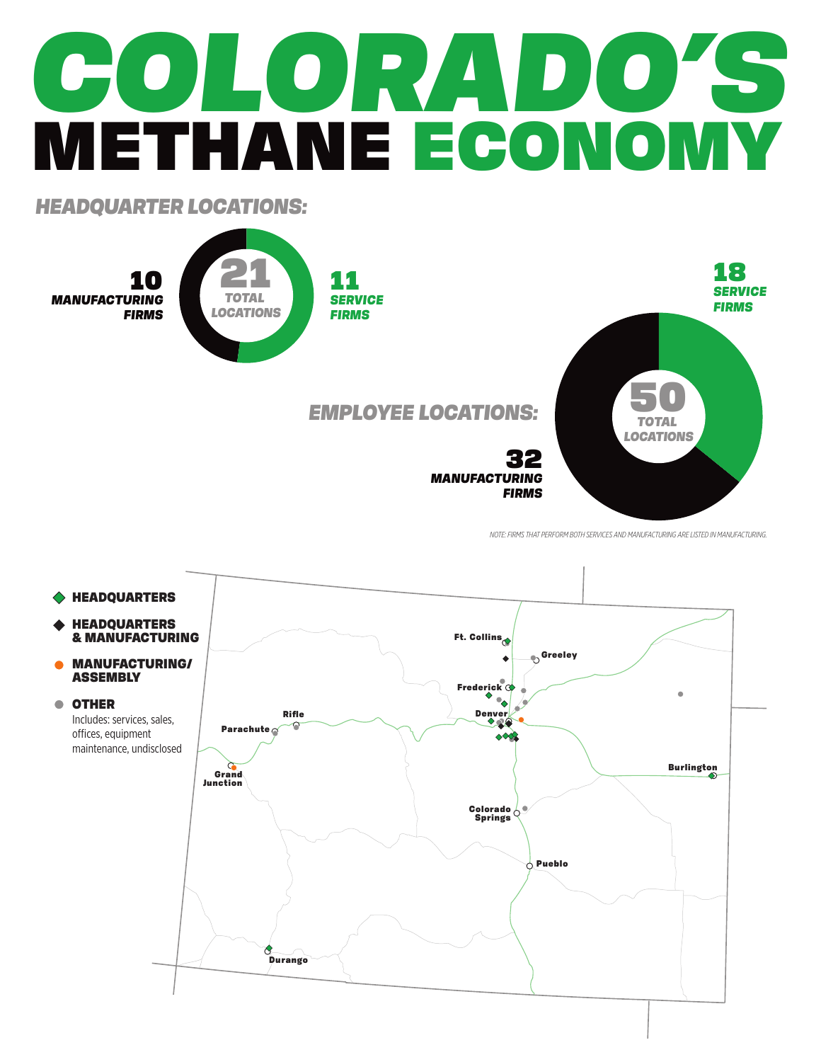## *COLORADO'S* METHANE ECONOMY

*HEADQUARTER LOCATIONS:*



*NOTE: FIRMS THAT PERFORM BOTH SERVICES AND MANUFACTURING ARE LISTED IN MANUFACTURING.*